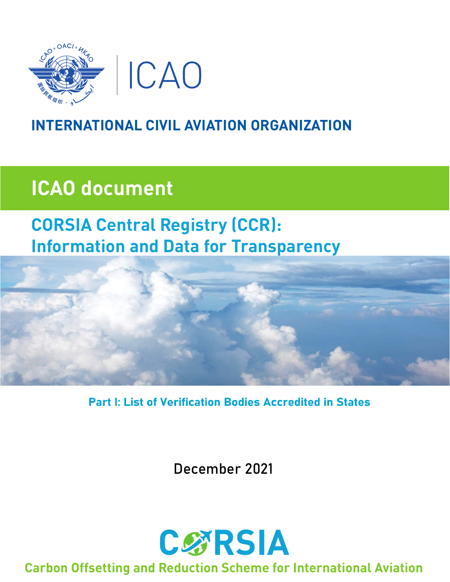

## **INTERNATIONAL CIVIL AVIATION ORGANIZATION**

# **ICAO document**

## **CORSIA Central Registry (CCR): Information and Data for Transparency**



**Part I: List of Verification Bodies Accredited in States** 

December 2021



### **Carbon Offsetting and Reduction Scheme for International Aviation**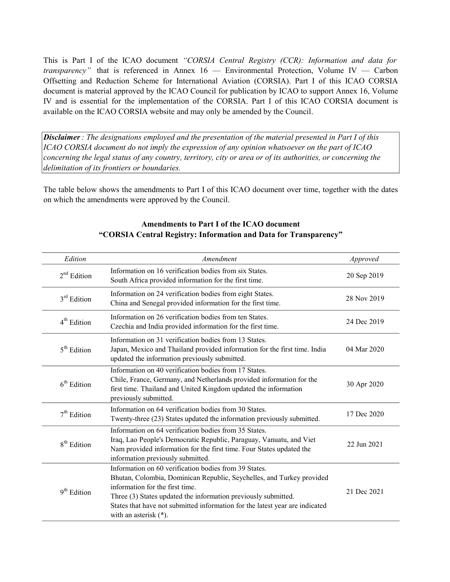This is Part I of the ICAO document "CORSIA Central Registry (CCR): Information and data for *transparency*" that is referenced in Annex  $16$  — Environmental Protection, Volume IV — Carbon Offsetting and Reduction Scheme for International Aviation (CORSIA). Part I of this ICAO CORSIA document is material approved by the ICAO Council for publication by ICAO to support Annex 16, Volume IV and is essential for the implementation of the CORSIA. Part I of this ICAO CORSIA document is available on the ICAO CORSIA website and may only be amended by the Council.

Disclaimer: The designations employed and the presentation of the material presented in Part I of this ICAO CORSIA document do not imply the expression of any opinion whatsoever on the part of ICAO concerning the legal status of any country, territory, city or area or of its authorities, or concerning the delimitation of its frontiers or boundaries.

The table below shows the amendments to Part I of this ICAO document over time, together with the dates on which the amendments were approved by the Council.

| Edition                 | Amendment                                                                                                                                                                                                                                                                                                                                       | Approved    |
|-------------------------|-------------------------------------------------------------------------------------------------------------------------------------------------------------------------------------------------------------------------------------------------------------------------------------------------------------------------------------------------|-------------|
| $2nd$ Edition           | Information on 16 verification bodies from six States.<br>South Africa provided information for the first time.                                                                                                                                                                                                                                 | 20 Sep 2019 |
| $3rd$ Edition           | Information on 24 verification bodies from eight States.<br>China and Senegal provided information for the first time.                                                                                                                                                                                                                          | 28 Nov 2019 |
| 4 <sup>th</sup> Edition | Information on 26 verification bodies from ten States.<br>Czechia and India provided information for the first time.                                                                                                                                                                                                                            | 24 Dec 2019 |
| $5th$ Edition           | Information on 31 verification bodies from 13 States.<br>Japan, Mexico and Thailand provided information for the first time. India<br>updated the information previously submitted.                                                                                                                                                             | 04 Mar 2020 |
| $6th$ Edition           | Information on 40 verification bodies from 17 States.<br>Chile, France, Germany, and Netherlands provided information for the<br>first time. Thailand and United Kingdom updated the information<br>previously submitted.                                                                                                                       | 30 Apr 2020 |
| $7th$ Edition           | Information on 64 verification bodies from 30 States.<br>Twenty-three (23) States updated the information previously submitted.                                                                                                                                                                                                                 | 17 Dec 2020 |
| 8 <sup>th</sup> Edition | Information on 64 verification bodies from 35 States.<br>Iraq, Lao People's Democratic Republic, Paraguay, Vanuatu, and Viet<br>Nam provided information for the first time. Four States updated the<br>information previously submitted.                                                                                                       | 22 Jun 2021 |
| $9th$ Edition           | Information on 60 verification bodies from 39 States.<br>Bhutan, Colombia, Dominican Republic, Seychelles, and Turkey provided<br>information for the first time.<br>Three (3) States updated the information previously submitted.<br>States that have not submitted information for the latest year are indicated<br>with an asterisk $(*)$ . | 21 Dec 2021 |

#### Amendments to Part I of the ICAO document "CORSIA Central Registry: Information and Data for Transparency"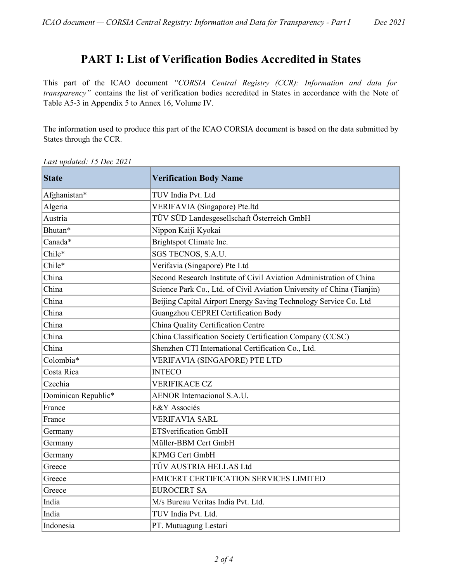#### PART I: List of Verification Bodies Accredited in States

This part of the ICAO document "CORSIA Central Registry (CCR): Information and data for transparency" contains the list of verification bodies accredited in States in accordance with the Note of Table A5-3 in Appendix 5 to Annex 16, Volume IV.

The information used to produce this part of the ICAO CORSIA document is based on the data submitted by States through the CCR.

| <b>State</b>        | <b>Verification Body Name</b>                                          |
|---------------------|------------------------------------------------------------------------|
| Afghanistan*        | TUV India Pvt. Ltd                                                     |
| Algeria             | VERIFAVIA (Singapore) Pte.ltd                                          |
| Austria             | TÜV SÜD Landesgesellschaft Österreich GmbH                             |
| Bhutan*             | Nippon Kaiji Kyokai                                                    |
| Canada*             | Brightspot Climate Inc.                                                |
| Chile*              | SGS TECNOS, S.A.U.                                                     |
| Chile*              | Verifavia (Singapore) Pte Ltd                                          |
| China               | Second Research Institute of Civil Aviation Administration of China    |
| China               | Science Park Co., Ltd. of Civil Aviation University of China (Tianjin) |
| China               | Beijing Capital Airport Energy Saving Technology Service Co. Ltd       |
| China               | Guangzhou CEPREI Certification Body                                    |
| China               | China Quality Certification Centre                                     |
| China               | China Classification Society Certification Company (CCSC)              |
| China               | Shenzhen CTI International Certification Co., Ltd.                     |
| Colombia*           | VERIFAVIA (SINGAPORE) PTE LTD                                          |
| Costa Rica          | <b>INTECO</b>                                                          |
| Czechia             | <b>VERIFIKACE CZ</b>                                                   |
| Dominican Republic* | <b>AENOR</b> Internacional S.A.U.                                      |
| France              | E&Y Associés                                                           |
| France              | <b>VERIFAVIA SARL</b>                                                  |
| Germany             | <b>ETSverification GmbH</b>                                            |
| Germany             | Müller-BBM Cert GmbH                                                   |
| Germany             | <b>KPMG Cert GmbH</b>                                                  |
| Greece              | TÜV AUSTRIA HELLAS Ltd                                                 |
| Greece              | <b>EMICERT CERTIFICATION SERVICES LIMITED</b>                          |
| Greece              | <b>EUROCERT SA</b>                                                     |
| India               | M/s Bureau Veritas India Pvt. Ltd.                                     |
| India               | TUV India Pvt. Ltd.                                                    |
| Indonesia           | PT. Mutuagung Lestari                                                  |

Last updated: 15 Dec 2021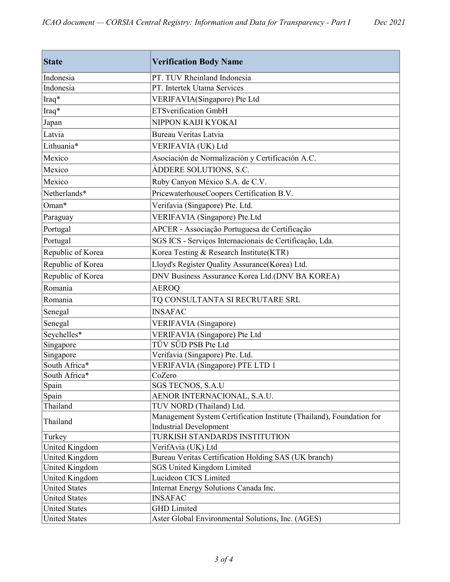| Indonesia<br>PT. TUV Rheinland Indonesia<br>Indonesia<br>PT. Intertek Utama Services<br>Iraq*<br>VERIFAVIA(Singapore) Pte Ltd<br><b>ETSverification GmbH</b><br>Iraq*<br>NIPPON KAIJI KYOKAI<br>Japan<br><b>Bureau Veritas Latvia</b><br>Latvia<br>Lithuania*<br>VERIFAVIA (UK) Ltd<br>Mexico<br>Asociación de Normalización y Certificación A.C.<br>Mexico<br>ÁDDERE SOLUTIONS, S.C.<br>Mexico<br>Ruby Canyon México S.A. de C.V.<br>Netherlands*<br>PricewaterhouseCoopers Certification B.V. | <b>State</b> | <b>Verification Body Name</b> |
|-------------------------------------------------------------------------------------------------------------------------------------------------------------------------------------------------------------------------------------------------------------------------------------------------------------------------------------------------------------------------------------------------------------------------------------------------------------------------------------------------|--------------|-------------------------------|
|                                                                                                                                                                                                                                                                                                                                                                                                                                                                                                 |              |                               |
|                                                                                                                                                                                                                                                                                                                                                                                                                                                                                                 |              |                               |
|                                                                                                                                                                                                                                                                                                                                                                                                                                                                                                 |              |                               |
|                                                                                                                                                                                                                                                                                                                                                                                                                                                                                                 |              |                               |
|                                                                                                                                                                                                                                                                                                                                                                                                                                                                                                 |              |                               |
|                                                                                                                                                                                                                                                                                                                                                                                                                                                                                                 |              |                               |
|                                                                                                                                                                                                                                                                                                                                                                                                                                                                                                 |              |                               |
|                                                                                                                                                                                                                                                                                                                                                                                                                                                                                                 |              |                               |
|                                                                                                                                                                                                                                                                                                                                                                                                                                                                                                 |              |                               |
|                                                                                                                                                                                                                                                                                                                                                                                                                                                                                                 |              |                               |
|                                                                                                                                                                                                                                                                                                                                                                                                                                                                                                 |              |                               |
| Oman*<br>Verifavia (Singapore) Pte. Ltd.                                                                                                                                                                                                                                                                                                                                                                                                                                                        |              |                               |
| VERIFAVIA (Singapore) Pte.Ltd<br>Paraguay                                                                                                                                                                                                                                                                                                                                                                                                                                                       |              |                               |
| Portugal<br>APCER - Associação Portuguesa de Certificação                                                                                                                                                                                                                                                                                                                                                                                                                                       |              |                               |
| SGS ICS - Serviços Internacionais de Certificação, Lda.<br>Portugal                                                                                                                                                                                                                                                                                                                                                                                                                             |              |                               |
| Korea Testing & Research Institute(KTR)<br>Republic of Korea                                                                                                                                                                                                                                                                                                                                                                                                                                    |              |                               |
| Republic of Korea<br>Lloyd's Register Quality Assurance(Korea) Ltd.                                                                                                                                                                                                                                                                                                                                                                                                                             |              |                               |
| Republic of Korea<br>DNV Business Assurance Korea Ltd.(DNV BA KOREA)                                                                                                                                                                                                                                                                                                                                                                                                                            |              |                               |
| Romania<br><b>AEROQ</b>                                                                                                                                                                                                                                                                                                                                                                                                                                                                         |              |                               |
| Romania<br>TQ CONSULTANTA SI RECRUTARE SRL                                                                                                                                                                                                                                                                                                                                                                                                                                                      |              |                               |
| <b>INSAFAC</b><br>Senegal                                                                                                                                                                                                                                                                                                                                                                                                                                                                       |              |                               |
| Senegal<br>VERIFAVIA (Singapore)                                                                                                                                                                                                                                                                                                                                                                                                                                                                |              |                               |
| Seychelles*<br>VERIFAVIA (Singapore) Pte Ltd                                                                                                                                                                                                                                                                                                                                                                                                                                                    |              |                               |
| TÜV SÜD PSB Pte Ltd<br>Singapore                                                                                                                                                                                                                                                                                                                                                                                                                                                                |              |                               |
| Singapore<br>Verifavia (Singapore) Pte. Ltd.                                                                                                                                                                                                                                                                                                                                                                                                                                                    |              |                               |
| South Africa*<br><b>VERIFAVIA</b> (Singapore) PTE LTD 1                                                                                                                                                                                                                                                                                                                                                                                                                                         |              |                               |
| South Africa*<br>CoZero                                                                                                                                                                                                                                                                                                                                                                                                                                                                         |              |                               |
| Spain<br>SGS TECNOS, S.A.U                                                                                                                                                                                                                                                                                                                                                                                                                                                                      |              |                               |
| AENOR INTERNACIONAL, S.A.U.<br>Spain                                                                                                                                                                                                                                                                                                                                                                                                                                                            |              |                               |
| Thailand<br>TUV NORD (Thailand) Ltd.                                                                                                                                                                                                                                                                                                                                                                                                                                                            |              |                               |
| Management System Certification Institute (Thailand), Foundation for<br>Thailand                                                                                                                                                                                                                                                                                                                                                                                                                |              |                               |
| <b>Industrial Development</b><br>TURKISH STANDARDS INSTITUTION<br>Turkey                                                                                                                                                                                                                                                                                                                                                                                                                        |              |                               |
| United Kingdom<br>VerifAvia (UK) Ltd                                                                                                                                                                                                                                                                                                                                                                                                                                                            |              |                               |
| United Kingdom<br>Bureau Veritas Certification Holding SAS (UK branch)                                                                                                                                                                                                                                                                                                                                                                                                                          |              |                               |
|                                                                                                                                                                                                                                                                                                                                                                                                                                                                                                 |              |                               |
| United Kingdom<br><b>SGS United Kingdom Limited</b><br>Lucideon CICS Limited                                                                                                                                                                                                                                                                                                                                                                                                                    |              |                               |
| United Kingdom<br><b>United States</b>                                                                                                                                                                                                                                                                                                                                                                                                                                                          |              |                               |
| Internat Energy Solutions Canada Inc.<br><b>INSAFAC</b>                                                                                                                                                                                                                                                                                                                                                                                                                                         |              |                               |
| <b>United States</b><br><b>GHD</b> Limited                                                                                                                                                                                                                                                                                                                                                                                                                                                      |              |                               |
| <b>United States</b><br><b>United States</b><br>Aster Global Environmental Solutions, Inc. (AGES)                                                                                                                                                                                                                                                                                                                                                                                               |              |                               |